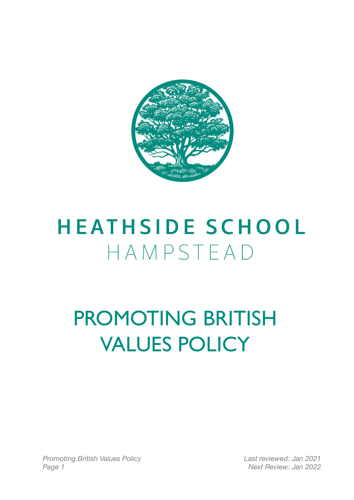

# **HEATHSIDE SCHOOL** HAMPSTEAD

# PROMOTING BRITISH VALUES POLICY

*Promoting British Values Policy Last reviewed: Jan 2021 Page 1 Next Review: Jan 2022*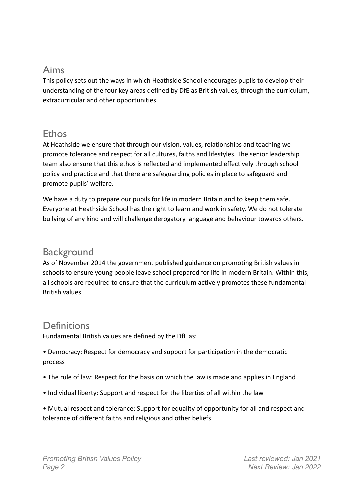# Aims

This policy sets out the ways in which Heathside School encourages pupils to develop their understanding of the four key areas defined by DfE as British values, through the curriculum, extracurricular and other opportunities.

## Ethos

At Heathside we ensure that through our vision, values, relationships and teaching we promote tolerance and respect for all cultures, faiths and lifestyles. The senior leadership team also ensure that this ethos is reflected and implemented effectively through school policy and practice and that there are safeguarding policies in place to safeguard and promote pupils' welfare.

We have a duty to prepare our pupils for life in modern Britain and to keep them safe. Everyone at Heathside School has the right to learn and work in safety. We do not tolerate bullying of any kind and will challenge derogatory language and behaviour towards others.

#### **Background**

As of November 2014 the government published guidance on promoting British values in schools to ensure young people leave school prepared for life in modern Britain. Within this, all schools are required to ensure that the curriculum actively promotes these fundamental British values.

#### **Definitions**

Fundamental British values are defined by the DfE as:

• Democracy: Respect for democracy and support for participation in the democratic process

- The rule of law: Respect for the basis on which the law is made and applies in England
- Individual liberty: Support and respect for the liberties of all within the law
- Mutual respect and tolerance: Support for equality of opportunity for all and respect and tolerance of different faiths and religious and other beliefs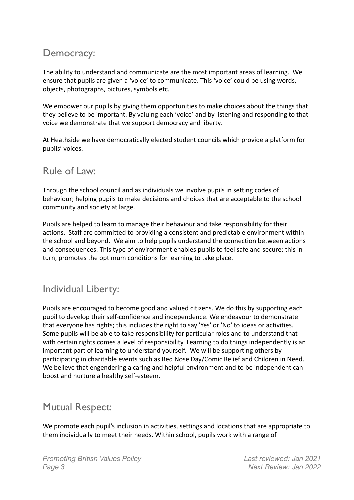# Democracy:

The ability to understand and communicate are the most important areas of learning. We ensure that pupils are given a 'voice' to communicate. This 'voice' could be using words, objects, photographs, pictures, symbols etc.

We empower our pupils by giving them opportunities to make choices about the things that they believe to be important. By valuing each 'voice' and by listening and responding to that voice we demonstrate that we support democracy and liberty.

At Heathside we have democratically elected student councils which provide a platform for pupils' voices.

## Rule of Law:

Through the school council and as individuals we involve pupils in setting codes of behaviour; helping pupils to make decisions and choices that are acceptable to the school community and society at large.

Pupils are helped to learn to manage their behaviour and take responsibility for their actions. Staff are committed to providing a consistent and predictable environment within the school and beyond. We aim to help pupils understand the connection between actions and consequences. This type of environment enables pupils to feel safe and secure; this in turn, promotes the optimum conditions for learning to take place.

## Individual Liberty:

Pupils are encouraged to become good and valued citizens. We do this by supporting each pupil to develop their self-confidence and independence. We endeavour to demonstrate that everyone has rights; this includes the right to say 'Yes' or 'No' to ideas or activities. Some pupils will be able to take responsibility for particular roles and to understand that with certain rights comes a level of responsibility. Learning to do things independently is an important part of learning to understand yourself. We will be supporting others by participating in charitable events such as Red Nose Day/Comic Relief and Children in Need. We believe that engendering a caring and helpful environment and to be independent can boost and nurture a healthy self-esteem.

## Mutual Respect:

We promote each pupil's inclusion in activities, settings and locations that are appropriate to them individually to meet their needs. Within school, pupils work with a range of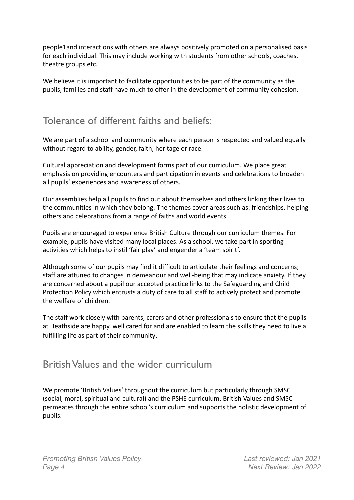people1and interactions with others are always positively promoted on a personalised basis for each individual. This may include working with students from other schools, coaches, theatre groups etc.

We believe it is important to facilitate opportunities to be part of the community as the pupils, families and staff have much to offer in the development of community cohesion.

## Tolerance of different faiths and beliefs:

We are part of a school and community where each person is respected and valued equally without regard to ability, gender, faith, heritage or race.

Cultural appreciation and development forms part of our curriculum. We place great emphasis on providing encounters and participation in events and celebrations to broaden all pupils' experiences and awareness of others.

Our assemblies help all pupils to find out about themselves and others linking their lives to the communities in which they belong. The themes cover areas such as: friendships, helping others and celebrations from a range of faiths and world events.

Pupils are encouraged to experience British Culture through our curriculum themes. For example, pupils have visited many local places. As a school, we take part in sporting activities which helps to instil 'fair play' and engender a 'team spirit'.

Although some of our pupils may find it difficult to articulate their feelings and concerns; staff are attuned to changes in demeanour and well-being that may indicate anxiety. If they are concerned about a pupil our accepted practice links to the Safeguarding and Child Protection Policy which entrusts a duty of care to all staff to actively protect and promote the welfare of children.

The staff work closely with parents, carers and other professionals to ensure that the pupils at Heathside are happy, well cared for and are enabled to learn the skills they need to live a fulfilling life as part of their community.

#### British Values and the wider curriculum

We promote 'British Values' throughout the curriculum but particularly through SMSC (social, moral, spiritual and cultural) and the PSHE curriculum. British Values and SMSC permeates through the entire school's curriculum and supports the holistic development of pupils.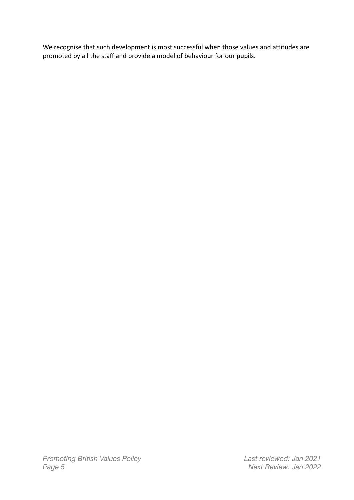We recognise that such development is most successful when those values and attitudes are promoted by all the staff and provide a model of behaviour for our pupils.